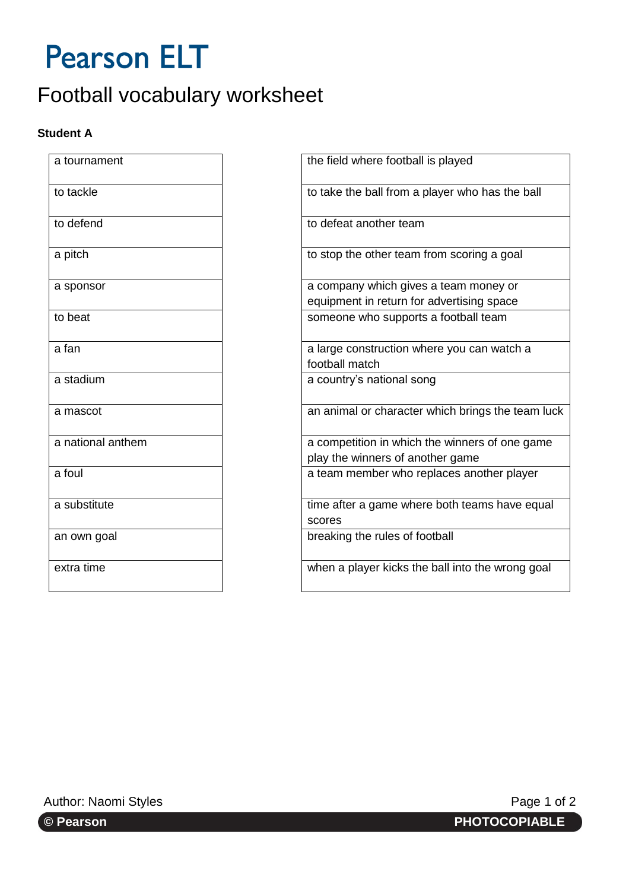# **Pearson ELT**

## Football vocabulary worksheet

### **Student A**

| a tournament      | the field where football is played |
|-------------------|------------------------------------|
| to tackle         | to take the ball from a player wh  |
| to defend         | to defeat another team             |
| a pitch           | to stop the other team from scor   |
| a sponsor         | a company which gives a team r     |
|                   | equipment in return for advertisi  |
| to beat           | someone who supports a footba      |
| a fan             | a large construction where you o   |
|                   | football match                     |
| a stadium         | a country's national song          |
| a mascot          | an animal or character which bri   |
| a national anthem | a competition in which the winne   |
|                   | play the winners of another gam    |
| a foul            | a team member who replaces are     |
| a substitute      | time after a game where both te    |
|                   | scores                             |
| an own goal       | breaking the rules of football     |
| extra time        | when a player kicks the ball into  |
|                   |                                    |

| a tournament      | the field where football is played                                                 |
|-------------------|------------------------------------------------------------------------------------|
| to tackle         | to take the ball from a player who has the ball                                    |
| to defend         | to defeat another team                                                             |
| a pitch           | to stop the other team from scoring a goal                                         |
| a sponsor         | a company which gives a team money or<br>equipment in return for advertising space |
| to beat           | someone who supports a football team                                               |
| a fan             | a large construction where you can watch a<br>football match                       |
| a stadium         | a country's national song                                                          |
| a mascot          | an animal or character which brings the team luck                                  |
| a national anthem | a competition in which the winners of one game<br>play the winners of another game |
| a foul            | a team member who replaces another player                                          |
| a substitute      | time after a game where both teams have equal<br>scores                            |
| an own goal       | breaking the rules of football                                                     |
| extra time        | when a player kicks the ball into the wrong goal                                   |

Author: Naomi Styles **Page 1 of 2** Author: Naomi Styles **Page 1 of 2**